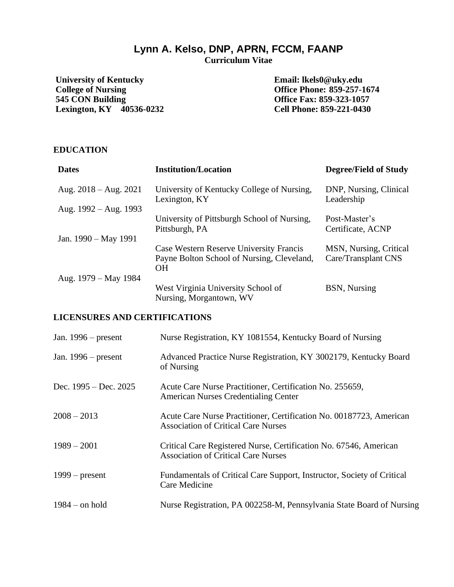# **Lynn A. Kelso, DNP, APRN, FCCM, FAANP**

**Curriculum Vitae**

**University of Kentucky College of Nursing 545 CON Building Lexington, KY 40536-0232**

**Email: lkels0@uky.edu Office Phone: 859-257-1674 Office Fax: 859-323-1057 Cell Phone: 859-221-0430**

## **EDUCATION**

| <b>Dates</b>            | <b>Institution/Location</b>                                                                        | <b>Degree/Field of Study</b>                  |
|-------------------------|----------------------------------------------------------------------------------------------------|-----------------------------------------------|
| Aug. $2018 - Aug. 2021$ | University of Kentucky College of Nursing,<br>Lexington, KY                                        | DNP, Nursing, Clinical<br>Leadership          |
| Aug. $1992 - Aug. 1993$ |                                                                                                    |                                               |
|                         | University of Pittsburgh School of Nursing,<br>Pittsburgh, PA                                      | Post-Master's<br>Certificate, ACNP            |
| Jan. $1990 - May 1991$  |                                                                                                    |                                               |
|                         | Case Western Reserve University Francis<br>Payne Bolton School of Nursing, Cleveland,<br><b>OH</b> | MSN, Nursing, Critical<br>Care/Transplant CNS |
| Aug. 1979 – May 1984    |                                                                                                    |                                               |
|                         | West Virginia University School of<br>Nursing, Morgantown, WV                                      | BSN, Nursing                                  |

### **LICENSURES AND CERTIFICATIONS**

| Jan. $1996$ – present   | Nurse Registration, KY 1081554, Kentucky Board of Nursing                                                         |
|-------------------------|-------------------------------------------------------------------------------------------------------------------|
| Jan. $1996$ – present   | Advanced Practice Nurse Registration, KY 3002179, Kentucky Board<br>of Nursing                                    |
| Dec. $1995 - Dec. 2025$ | Acute Care Nurse Practitioner, Certification No. 255659,<br><b>American Nurses Credentialing Center</b>           |
| $2008 - 2013$           | Acute Care Nurse Practitioner, Certification No. 00187723, American<br><b>Association of Critical Care Nurses</b> |
| $1989 - 2001$           | Critical Care Registered Nurse, Certification No. 67546, American<br><b>Association of Critical Care Nurses</b>   |
| $1999$ – present        | Fundamentals of Critical Care Support, Instructor, Society of Critical<br>Care Medicine                           |
| $1984 -$ on hold        | Nurse Registration, PA 002258-M, Pennsylvania State Board of Nursing                                              |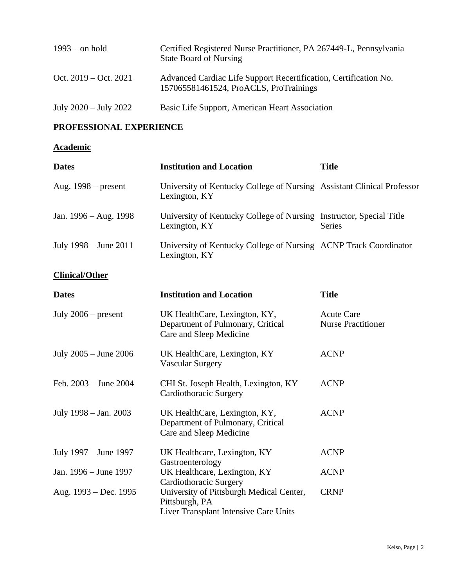| $1993$ – on hold          | Certified Registered Nurse Practitioner, PA 267449-L, Pennsylvania<br><b>State Board of Nursing</b>        |
|---------------------------|------------------------------------------------------------------------------------------------------------|
| Oct. $2019 - Oct. 2021$   | Advanced Cardiac Life Support Recertification, Certification No.<br>157065581461524, ProACLS, ProTrainings |
| July $2020 -$ July $2022$ | Basic Life Support, American Heart Association                                                             |

## **PROFESSIONAL EXPERIENCE**

## **Academic**

| <b>Dates</b>              | <b>Institution and Location</b>                                                                     | <b>Title</b>                                   |
|---------------------------|-----------------------------------------------------------------------------------------------------|------------------------------------------------|
| Aug. 1998 – present       | University of Kentucky College of Nursing Assistant Clinical Professor<br>Lexington, KY             |                                                |
| Jan. 1996 – Aug. 1998     | University of Kentucky College of Nursing Instructor, Special Title<br>Lexington, KY                | <b>Series</b>                                  |
| July 1998 – June 2011     | University of Kentucky College of Nursing ACNP Track Coordinator<br>Lexington, KY                   |                                                |
| <b>Clinical/Other</b>     |                                                                                                     |                                                |
| <b>Dates</b>              | <b>Institution and Location</b>                                                                     | <b>Title</b>                                   |
| July $2006$ – present     | UK HealthCare, Lexington, KY,<br>Department of Pulmonary, Critical<br>Care and Sleep Medicine       | <b>Acute Care</b><br><b>Nurse Practitioner</b> |
| July $2005 -$ June $2006$ | UK HealthCare, Lexington, KY<br><b>Vascular Surgery</b>                                             | <b>ACNP</b>                                    |
| Feb. 2003 - June 2004     | CHI St. Joseph Health, Lexington, KY<br>Cardiothoracic Surgery                                      | <b>ACNP</b>                                    |
| July 1998 - Jan. 2003     | UK HealthCare, Lexington, KY,<br>Department of Pulmonary, Critical<br>Care and Sleep Medicine       | <b>ACNP</b>                                    |
| July 1997 – June 1997     | UK Healthcare, Lexington, KY<br>Gastroenterology                                                    | <b>ACNP</b>                                    |
| Jan. 1996 – June 1997     | UK Healthcare, Lexington, KY<br>Cardiothoracic Surgery                                              | <b>ACNP</b>                                    |
| Aug. 1993 – Dec. 1995     | University of Pittsburgh Medical Center,<br>Pittsburgh, PA<br>Liver Transplant Intensive Care Units | <b>CRNP</b>                                    |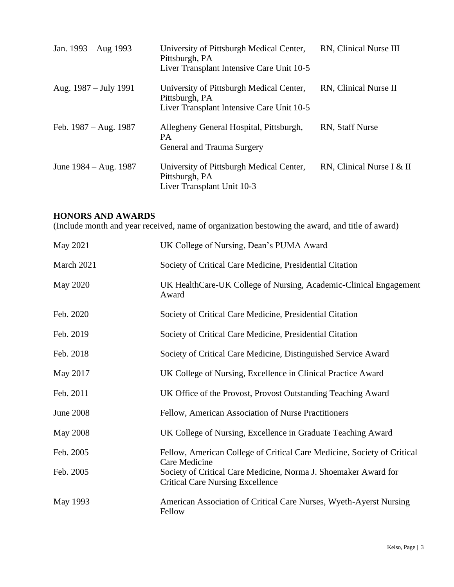| Jan. $1993 - Aug$ 1993  | University of Pittsburgh Medical Center,<br>Pittsburgh, PA<br>Liver Transplant Intensive Care Unit 10-5 | RN, Clinical Nurse III    |
|-------------------------|---------------------------------------------------------------------------------------------------------|---------------------------|
| Aug. $1987 - July 1991$ | University of Pittsburgh Medical Center,<br>Pittsburgh, PA<br>Liver Transplant Intensive Care Unit 10-5 | RN, Clinical Nurse II     |
| Feb. $1987 - Aug. 1987$ | Allegheny General Hospital, Pittsburgh,<br><b>PA</b><br>General and Trauma Surgery                      | RN, Staff Nurse           |
| June $1984 - Aug. 1987$ | University of Pittsburgh Medical Center,<br>Pittsburgh, PA<br>Liver Transplant Unit 10-3                | RN, Clinical Nurse I & II |

## **HONORS AND AWARDS**

(Include month and year received, name of organization bestowing the award, and title of award)

| May 2021         | UK College of Nursing, Dean's PUMA Award                                                                   |
|------------------|------------------------------------------------------------------------------------------------------------|
| March 2021       | Society of Critical Care Medicine, Presidential Citation                                                   |
| <b>May 2020</b>  | UK HealthCare-UK College of Nursing, Academic-Clinical Engagement<br>Award                                 |
| Feb. 2020        | Society of Critical Care Medicine, Presidential Citation                                                   |
| Feb. 2019        | Society of Critical Care Medicine, Presidential Citation                                                   |
| Feb. 2018        | Society of Critical Care Medicine, Distinguished Service Award                                             |
| May 2017         | UK College of Nursing, Excellence in Clinical Practice Award                                               |
| Feb. 2011        | UK Office of the Provost, Provost Outstanding Teaching Award                                               |
| <b>June 2008</b> | Fellow, American Association of Nurse Practitioners                                                        |
| <b>May 2008</b>  | UK College of Nursing, Excellence in Graduate Teaching Award                                               |
| Feb. 2005        | Fellow, American College of Critical Care Medicine, Society of Critical<br>Care Medicine                   |
| Feb. 2005        | Society of Critical Care Medicine, Norma J. Shoemaker Award for<br><b>Critical Care Nursing Excellence</b> |
| May 1993         | American Association of Critical Care Nurses, Wyeth-Ayerst Nursing<br>Fellow                               |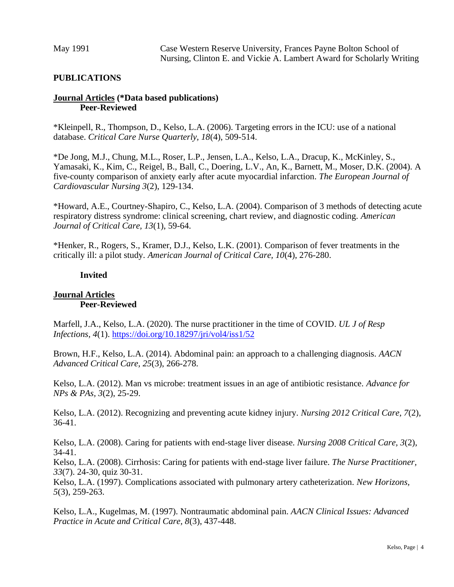## **PUBLICATIONS**

#### **Journal Articles (\*Data based publications) Peer-Reviewed**

\*Kleinpell, R., Thompson, D., Kelso, L.A. (2006). Targeting errors in the ICU: use of a national database. *Critical Care Nurse Quarterly, 18*(4), 509-514.

\*De Jong, M.J., Chung, M.L., Roser, L.P., Jensen, L.A., Kelso, L.A., Dracup, K., McKinley, S., Yamasaki, K., Kim, C., Reigel, B., Ball, C., Doering, L.V., An, K., Barnett, M., Moser, D.K. (2004). A five-county comparison of anxiety early after acute myocardial infarction. *The European Journal of Cardiovascular Nursing 3*(2), 129-134.

\*Howard, A.E., Courtney-Shapiro, C., Kelso, L.A. (2004). Comparison of 3 methods of detecting acute respiratory distress syndrome: clinical screening, chart review, and diagnostic coding. *American Journal of Critical Care, 13*(1), 59-64.

\*Henker, R., Rogers, S., Kramer, D.J., Kelso, L.K. (2001). Comparison of fever treatments in the critically ill: a pilot study. *American Journal of Critical Care, 10*(4), 276-280.

#### **Invited**

## **Journal Articles Peer-Reviewed**

Marfell, J.A., Kelso, L.A. (2020). The nurse practitioner in the time of COVID. *UL J of Resp Infections, 4*(1).<https://doi.org/10.18297/jri/vol4/iss1/52>

Brown, H.F., Kelso, L.A. (2014). Abdominal pain: an approach to a challenging diagnosis. *AACN Advanced Critical Care, 25*(3), 266-278.

Kelso, L.A. (2012). Man vs microbe: treatment issues in an age of antibiotic resistance. *Advance for NPs & PAs, 3*(2), 25-29.

Kelso, L.A. (2012). Recognizing and preventing acute kidney injury. *Nursing 2012 Critical Care, 7*(2), 36-41.

Kelso, L.A. (2008). Caring for patients with end-stage liver disease. *Nursing 2008 Critical Care, 3*(2), 34-41.

Kelso, L.A. (2008). Cirrhosis: Caring for patients with end-stage liver failure. *The Nurse Practitioner, 33*(7). 24-30, quiz 30-31.

Kelso, L.A. (1997). Complications associated with pulmonary artery catheterization. *New Horizons, 5*(3), 259-263.

Kelso, L.A., Kugelmas, M. (1997). Nontraumatic abdominal pain. *AACN Clinical Issues: Advanced Practice in Acute and Critical Care, 8*(3), 437-448.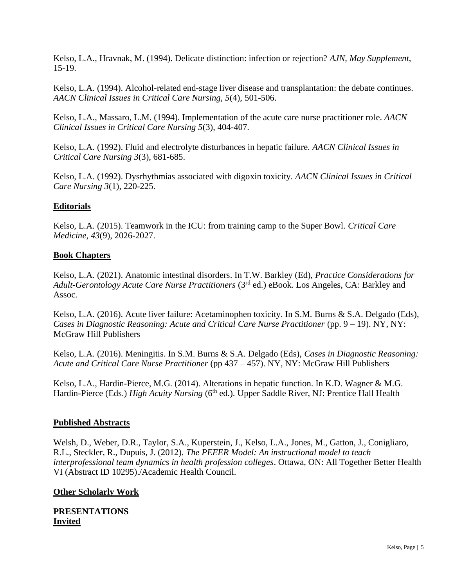Kelso, L.A., Hravnak, M. (1994). Delicate distinction: infection or rejection? *AJN, May Supplement*, 15-19.

Kelso, L.A. (1994). Alcohol-related end-stage liver disease and transplantation: the debate continues. *AACN Clinical Issues in Critical Care Nursing, 5*(4), 501-506.

Kelso, L.A., Massaro, L.M. (1994). Implementation of the acute care nurse practitioner role. *AACN Clinical Issues in Critical Care Nursing 5*(3), 404-407.

Kelso, L.A. (1992). Fluid and electrolyte disturbances in hepatic failure. *AACN Clinical Issues in Critical Care Nursing 3*(3), 681-685.

Kelso, L.A. (1992). Dysrhythmias associated with digoxin toxicity. *AACN Clinical Issues in Critical Care Nursing 3*(1), 220-225.

## **Editorials**

Kelso, L.A. (2015). Teamwork in the ICU: from training camp to the Super Bowl. *Critical Care Medicine, 43*(9), 2026-2027.

### **Book Chapters**

Kelso, L.A. (2021). Anatomic intestinal disorders. In T.W. Barkley (Ed), *Practice Considerations for Adult-Gerontology Acute Care Nurse Practitioners* (3rd ed.) eBook. Los Angeles, CA: Barkley and Assoc.

Kelso, L.A. (2016). Acute liver failure: Acetaminophen toxicity. In S.M. Burns & S.A. Delgado (Eds), *Cases in Diagnostic Reasoning: Acute and Critical Care Nurse Practitioner* (pp. 9 – 19). NY, NY: McGraw Hill Publishers

Kelso, L.A. (2016). Meningitis. In S.M. Burns & S.A. Delgado (Eds), *Cases in Diagnostic Reasoning: Acute and Critical Care Nurse Practitioner* (pp 437 – 457). NY, NY: McGraw Hill Publishers

Kelso, L.A., Hardin-Pierce, M.G. (2014). Alterations in hepatic function. In K.D. Wagner & M.G. Hardin-Pierce (Eds.) *High Acuity Nursing* (6<sup>th</sup> ed.). Upper Saddle River, NJ: Prentice Hall Health

### **Published Abstracts**

Welsh, D., Weber, D.R., Taylor, S.A., Kuperstein, J., Kelso, L.A., Jones, M., Gatton, J., Conigliaro, R.L., Steckler, R., Dupuis, J. (2012). *The PEEER Model: An instructional model to teach interprofessional team dynamics in health profession colleges*. Ottawa, ON: All Together Better Health VI (Abstract ID 10295)./Academic Health Council.

### **Other Scholarly Work**

**PRESENTATIONS Invited**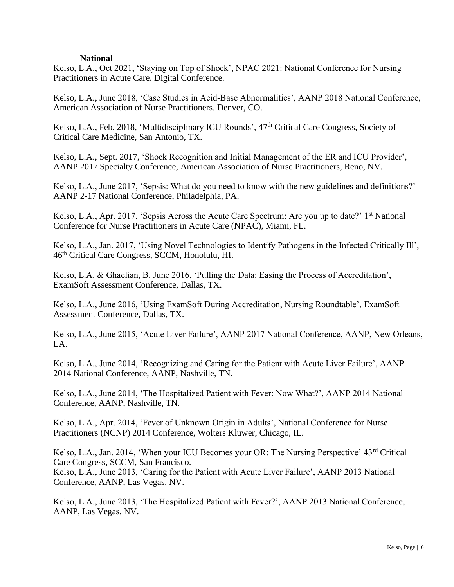#### **National**

Kelso, L.A., Oct 2021, 'Staying on Top of Shock', NPAC 2021: National Conference for Nursing Practitioners in Acute Care. Digital Conference.

Kelso, L.A., June 2018, 'Case Studies in Acid-Base Abnormalities', AANP 2018 National Conference, American Association of Nurse Practitioners. Denver, CO.

Kelso, L.A., Feb. 2018, 'Multidisciplinary ICU Rounds', 47<sup>th</sup> Critical Care Congress, Society of Critical Care Medicine, San Antonio, TX.

Kelso, L.A., Sept. 2017, 'Shock Recognition and Initial Management of the ER and ICU Provider', AANP 2017 Specialty Conference, American Association of Nurse Practitioners, Reno, NV.

Kelso, L.A., June 2017, 'Sepsis: What do you need to know with the new guidelines and definitions?' AANP 2-17 National Conference, Philadelphia, PA.

Kelso, L.A., Apr. 2017, 'Sepsis Across the Acute Care Spectrum: Are you up to date?' 1<sup>st</sup> National Conference for Nurse Practitioners in Acute Care (NPAC), Miami, FL.

Kelso, L.A., Jan. 2017, 'Using Novel Technologies to Identify Pathogens in the Infected Critically Ill', 46th Critical Care Congress, SCCM, Honolulu, HI.

Kelso, L.A. & Ghaelian, B. June 2016, 'Pulling the Data: Easing the Process of Accreditation', ExamSoft Assessment Conference, Dallas, TX.

Kelso, L.A., June 2016, 'Using ExamSoft During Accreditation, Nursing Roundtable', ExamSoft Assessment Conference, Dallas, TX.

Kelso, L.A., June 2015, 'Acute Liver Failure', AANP 2017 National Conference, AANP, New Orleans,  $L_A$ .

Kelso, L.A., June 2014, 'Recognizing and Caring for the Patient with Acute Liver Failure', AANP 2014 National Conference, AANP, Nashville, TN.

Kelso, L.A., June 2014, 'The Hospitalized Patient with Fever: Now What?', AANP 2014 National Conference, AANP, Nashville, TN.

Kelso, L.A., Apr. 2014, 'Fever of Unknown Origin in Adults', National Conference for Nurse Practitioners (NCNP) 2014 Conference, Wolters Kluwer, Chicago, IL.

Kelso, L.A., Jan. 2014, 'When your ICU Becomes your OR: The Nursing Perspective' 43rd Critical Care Congress, SCCM, San Francisco. Kelso, L.A., June 2013, 'Caring for the Patient with Acute Liver Failure', AANP 2013 National Conference, AANP, Las Vegas, NV.

Kelso, L.A., June 2013, 'The Hospitalized Patient with Fever?', AANP 2013 National Conference, AANP, Las Vegas, NV.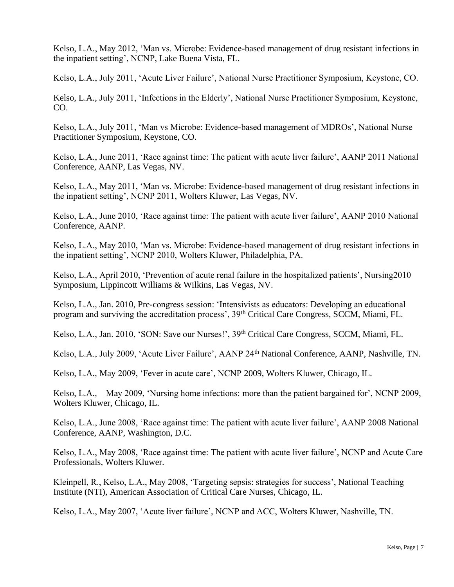Kelso, L.A., May 2012, 'Man vs. Microbe: Evidence-based management of drug resistant infections in the inpatient setting', NCNP, Lake Buena Vista, FL.

Kelso, L.A., July 2011, 'Acute Liver Failure', National Nurse Practitioner Symposium, Keystone, CO.

Kelso, L.A., July 2011, 'Infections in the Elderly', National Nurse Practitioner Symposium, Keystone, CO.

Kelso, L.A., July 2011, 'Man vs Microbe: Evidence-based management of MDROs', National Nurse Practitioner Symposium, Keystone, CO.

Kelso, L.A., June 2011, 'Race against time: The patient with acute liver failure', AANP 2011 National Conference, AANP, Las Vegas, NV.

Kelso, L.A., May 2011, 'Man vs. Microbe: Evidence-based management of drug resistant infections in the inpatient setting', NCNP 2011, Wolters Kluwer, Las Vegas, NV.

Kelso, L.A., June 2010, 'Race against time: The patient with acute liver failure', AANP 2010 National Conference, AANP.

Kelso, L.A., May 2010, 'Man vs. Microbe: Evidence-based management of drug resistant infections in the inpatient setting', NCNP 2010, Wolters Kluwer, Philadelphia, PA.

Kelso, L.A., April 2010, 'Prevention of acute renal failure in the hospitalized patients', Nursing2010 Symposium, Lippincott Williams & Wilkins, Las Vegas, NV.

Kelso, L.A., Jan. 2010, Pre-congress session: 'Intensivists as educators: Developing an educational program and surviving the accreditation process', 39<sup>th</sup> Critical Care Congress, SCCM, Miami, FL.

Kelso, L.A., Jan. 2010, 'SON: Save our Nurses!', 39<sup>th</sup> Critical Care Congress, SCCM, Miami, FL.

Kelso, L.A., July 2009, 'Acute Liver Failure', AANP 24<sup>th</sup> National Conference, AANP, Nashville, TN.

Kelso, L.A., May 2009, 'Fever in acute care', NCNP 2009, Wolters Kluwer, Chicago, IL.

Kelso, L.A., May 2009, 'Nursing home infections: more than the patient bargained for', NCNP 2009, Wolters Kluwer, Chicago, IL.

Kelso, L.A., June 2008, 'Race against time: The patient with acute liver failure', AANP 2008 National Conference, AANP, Washington, D.C.

Kelso, L.A., May 2008, 'Race against time: The patient with acute liver failure', NCNP and Acute Care Professionals, Wolters Kluwer.

Kleinpell, R., Kelso, L.A., May 2008, 'Targeting sepsis: strategies for success', National Teaching Institute (NTI), American Association of Critical Care Nurses, Chicago, IL.

Kelso, L.A., May 2007, 'Acute liver failure', NCNP and ACC, Wolters Kluwer, Nashville, TN.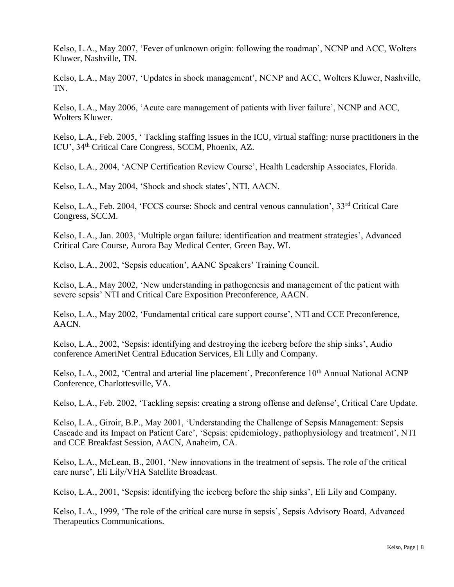Kelso, L.A., May 2007, 'Fever of unknown origin: following the roadmap', NCNP and ACC, Wolters Kluwer, Nashville, TN.

Kelso, L.A., May 2007, 'Updates in shock management', NCNP and ACC, Wolters Kluwer, Nashville, TN.

Kelso, L.A., May 2006, 'Acute care management of patients with liver failure', NCNP and ACC, Wolters Kluwer.

Kelso, L.A., Feb. 2005, ' Tackling staffing issues in the ICU, virtual staffing: nurse practitioners in the ICU', 34<sup>th</sup> Critical Care Congress, SCCM, Phoenix, AZ.

Kelso, L.A., 2004, 'ACNP Certification Review Course', Health Leadership Associates, Florida.

Kelso, L.A., May 2004, 'Shock and shock states', NTI, AACN.

Kelso, L.A., Feb. 2004, 'FCCS course: Shock and central venous cannulation', 33rd Critical Care Congress, SCCM.

Kelso, L.A., Jan. 2003, 'Multiple organ failure: identification and treatment strategies', Advanced Critical Care Course, Aurora Bay Medical Center, Green Bay, WI.

Kelso, L.A., 2002, 'Sepsis education', AANC Speakers' Training Council.

Kelso, L.A., May 2002, 'New understanding in pathogenesis and management of the patient with severe sepsis' NTI and Critical Care Exposition Preconference, AACN.

Kelso, L.A., May 2002, 'Fundamental critical care support course', NTI and CCE Preconference, AACN.

Kelso, L.A., 2002, 'Sepsis: identifying and destroying the iceberg before the ship sinks', Audio conference AmeriNet Central Education Services, Eli Lilly and Company.

Kelso, L.A., 2002, 'Central and arterial line placement', Preconference 10<sup>th</sup> Annual National ACNP Conference, Charlottesville, VA.

Kelso, L.A., Feb. 2002, 'Tackling sepsis: creating a strong offense and defense', Critical Care Update.

Kelso, L.A., Giroir, B.P., May 2001, 'Understanding the Challenge of Sepsis Management: Sepsis Cascade and its Impact on Patient Care', 'Sepsis: epidemiology, pathophysiology and treatment', NTI and CCE Breakfast Session, AACN, Anaheim, CA.

Kelso, L.A., McLean, B., 2001, 'New innovations in the treatment of sepsis. The role of the critical care nurse', Eli Lily/VHA Satellite Broadcast.

Kelso, L.A., 2001, 'Sepsis: identifying the iceberg before the ship sinks', Eli Lily and Company.

Kelso, L.A., 1999, 'The role of the critical care nurse in sepsis', Sepsis Advisory Board, Advanced Therapeutics Communications.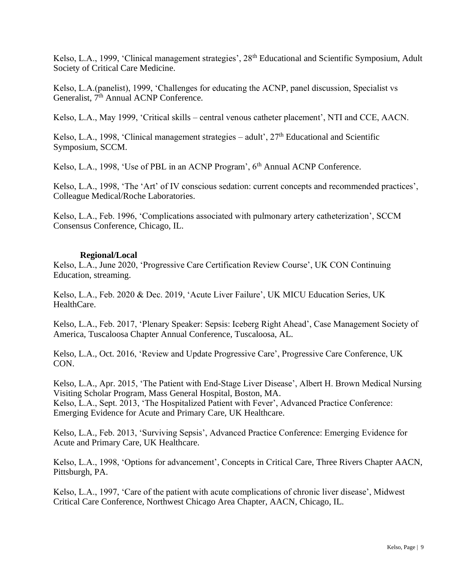Kelso, L.A., 1999, 'Clinical management strategies', 28<sup>th</sup> Educational and Scientific Symposium, Adult Society of Critical Care Medicine.

Kelso, L.A.(panelist), 1999, 'Challenges for educating the ACNP, panel discussion, Specialist vs Generalist, 7<sup>th</sup> Annual ACNP Conference.

Kelso, L.A., May 1999, 'Critical skills – central venous catheter placement', NTI and CCE, AACN.

Kelso, L.A., 1998, 'Clinical management strategies – adult',  $27<sup>th</sup>$  Educational and Scientific Symposium, SCCM.

Kelso, L.A., 1998, 'Use of PBL in an ACNP Program', 6<sup>th</sup> Annual ACNP Conference.

Kelso, L.A., 1998, 'The 'Art' of IV conscious sedation: current concepts and recommended practices', Colleague Medical/Roche Laboratories.

Kelso, L.A., Feb. 1996, 'Complications associated with pulmonary artery catheterization', SCCM Consensus Conference, Chicago, IL.

#### **Regional/Local**

Kelso, L.A., June 2020, 'Progressive Care Certification Review Course', UK CON Continuing Education, streaming.

Kelso, L.A., Feb. 2020 & Dec. 2019, 'Acute Liver Failure', UK MICU Education Series, UK HealthCare.

Kelso, L.A., Feb. 2017, 'Plenary Speaker: Sepsis: Iceberg Right Ahead', Case Management Society of America, Tuscaloosa Chapter Annual Conference, Tuscaloosa, AL.

Kelso, L.A., Oct. 2016, 'Review and Update Progressive Care', Progressive Care Conference, UK CON.

Kelso, L.A., Apr. 2015, 'The Patient with End-Stage Liver Disease', Albert H. Brown Medical Nursing Visiting Scholar Program, Mass General Hospital, Boston, MA. Kelso, L.A., Sept. 2013, 'The Hospitalized Patient with Fever', Advanced Practice Conference: Emerging Evidence for Acute and Primary Care, UK Healthcare.

Kelso, L.A., Feb. 2013, 'Surviving Sepsis', Advanced Practice Conference: Emerging Evidence for Acute and Primary Care, UK Healthcare.

Kelso, L.A., 1998, 'Options for advancement', Concepts in Critical Care, Three Rivers Chapter AACN, Pittsburgh, PA.

Kelso, L.A., 1997, 'Care of the patient with acute complications of chronic liver disease', Midwest Critical Care Conference, Northwest Chicago Area Chapter, AACN, Chicago, IL.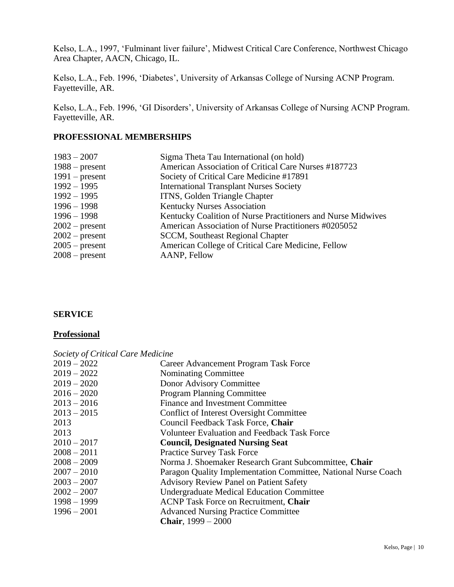Kelso, L.A., 1997, 'Fulminant liver failure', Midwest Critical Care Conference, Northwest Chicago Area Chapter, AACN, Chicago, IL.

Kelso, L.A., Feb. 1996, 'Diabetes', University of Arkansas College of Nursing ACNP Program. Fayetteville, AR.

Kelso, L.A., Feb. 1996, 'GI Disorders', University of Arkansas College of Nursing ACNP Program. Fayetteville, AR.

## **PROFESSIONAL MEMBERSHIPS**

| Sigma Theta Tau International (on hold)                      |
|--------------------------------------------------------------|
| American Association of Critical Care Nurses #187723         |
| Society of Critical Care Medicine #17891                     |
| <b>International Transplant Nurses Society</b>               |
| ITNS, Golden Triangle Chapter                                |
| <b>Kentucky Nurses Association</b>                           |
| Kentucky Coalition of Nurse Practitioners and Nurse Midwives |
| American Association of Nurse Practitioners #0205052         |
| <b>SCCM</b> , Southeast Regional Chapter                     |
| American College of Critical Care Medicine, Fellow           |
| AANP, Fellow                                                 |
|                                                              |

## **SERVICE**

#### **Professional**

| Society of Critical Care Medicine |                                                                |
|-----------------------------------|----------------------------------------------------------------|
| $2019 - 2022$                     | Career Advancement Program Task Force                          |
| $2019 - 2022$                     | Nominating Committee                                           |
| $2019 - 2020$                     | Donor Advisory Committee                                       |
| $2016 - 2020$                     | <b>Program Planning Committee</b>                              |
| $2013 - 2016$                     | Finance and Investment Committee                               |
| $2013 - 2015$                     | Conflict of Interest Oversight Committee                       |
| 2013                              | Council Feedback Task Force, Chair                             |
| 2013                              | Volunteer Evaluation and Feedback Task Force                   |
| $2010 - 2017$                     | <b>Council, Designated Nursing Seat</b>                        |
| $2008 - 2011$                     | <b>Practice Survey Task Force</b>                              |
| $2008 - 2009$                     | Norma J. Shoemaker Research Grant Subcommittee, Chair          |
| $2007 - 2010$                     | Paragon Quality Implementation Committee, National Nurse Coach |
| $2003 - 2007$                     | <b>Advisory Review Panel on Patient Safety</b>                 |
| $2002 - 2007$                     | <b>Undergraduate Medical Education Committee</b>               |
| $1998 - 1999$                     | <b>ACNP Task Force on Recruitment, Chair</b>                   |
| $1996 - 2001$                     | <b>Advanced Nursing Practice Committee</b>                     |
|                                   | <b>Chair</b> , $1999 - 2000$                                   |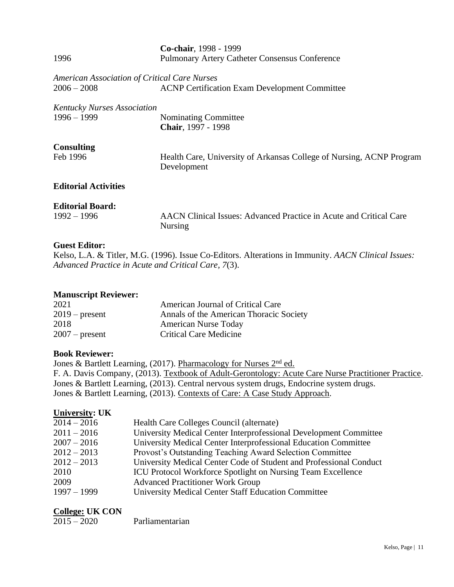| 1996                                         | Co-chair, 1998 - 1999<br><b>Pulmonary Artery Catheter Consensus Conference</b>       |  |
|----------------------------------------------|--------------------------------------------------------------------------------------|--|
| American Association of Critical Care Nurses |                                                                                      |  |
| $2006 - 2008$                                | <b>ACNP Certification Exam Development Committee</b>                                 |  |
| Kentucky Nurses Association                  |                                                                                      |  |
| $1996 - 1999$                                | Nominating Committee                                                                 |  |
|                                              | Chair, 1997 - 1998                                                                   |  |
| <b>Consulting</b>                            |                                                                                      |  |
| Feb 1996                                     | Health Care, University of Arkansas College of Nursing, ACNP Program<br>Development  |  |
| <b>Editorial Activities</b>                  |                                                                                      |  |
| <b>Editorial Board:</b>                      |                                                                                      |  |
| $1992 - 1996$                                | AACN Clinical Issues: Advanced Practice in Acute and Critical Care<br><b>Nursing</b> |  |

#### **Guest Editor:**

Kelso, L.A. & Titler, M.G. (1996). Issue Co-Editors. Alterations in Immunity. *AACN Clinical Issues: Advanced Practice in Acute and Critical Care, 7*(3).

#### **Manuscript Reviewer:**

| 2021             | American Journal of Critical Care       |
|------------------|-----------------------------------------|
| $2019$ – present | Annals of the American Thoracic Society |
| 2018             | <b>American Nurse Today</b>             |
| $2007$ – present | <b>Critical Care Medicine</b>           |

#### **Book Reviewer:**

Jones & Bartlett Learning, (2017). Pharmacology for Nurses 2<sup>nd</sup> ed. F. A. Davis Company, (2013). Textbook of Adult-Gerontology: Acute Care Nurse Practitioner Practice. Jones & Bartlett Learning, (2013). Central nervous system drugs, Endocrine system drugs. Jones & Bartlett Learning, (2013). Contexts of Care: A Case Study Approach.

#### **University: UK**

| $2014 - 2016$ | Health Care Colleges Council (alternate)                           |
|---------------|--------------------------------------------------------------------|
| $2011 - 2016$ | University Medical Center Interprofessional Development Committee  |
| $2007 - 2016$ | University Medical Center Interprofessional Education Committee    |
| $2012 - 2013$ | Provost's Outstanding Teaching Award Selection Committee           |
| $2012 - 2013$ | University Medical Center Code of Student and Professional Conduct |
| 2010          | <b>ICU Protocol Workforce Spotlight on Nursing Team Excellence</b> |
| 2009          | <b>Advanced Practitioner Work Group</b>                            |
| $1997 - 1999$ | <b>University Medical Center Staff Education Committee</b>         |

## **College: UK CON**

| $2015 - 2020$ | Parliamentarian |
|---------------|-----------------|
|               |                 |